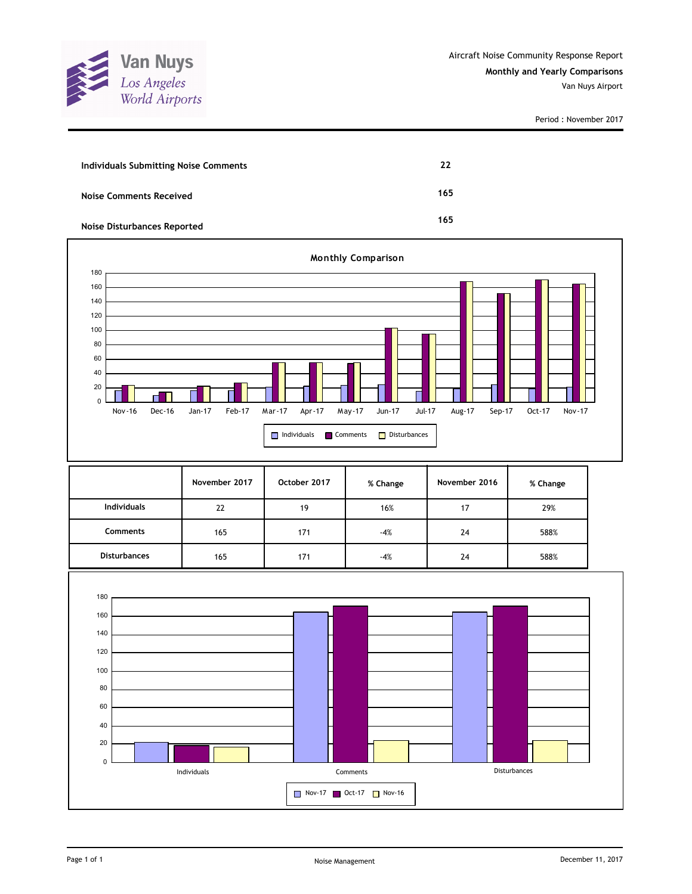

| Individuals Submitting Noise Comments | 22  |
|---------------------------------------|-----|
| Noise Comments Received               | 165 |
| <b>Noise Disturbances Reported</b>    | 165 |



|                     | November 2017 | October 2017 | % Change | November 2016 | % Change |
|---------------------|---------------|--------------|----------|---------------|----------|
| <b>Individuals</b>  | 22            | 19           | 16%      | 17            | 29%      |
| <b>Comments</b>     | 165           | 171          | $-4%$    | 24            | 588%     |
| <b>Disturbances</b> | 165           | 171          | $-4%$    | 24            | 588%     |

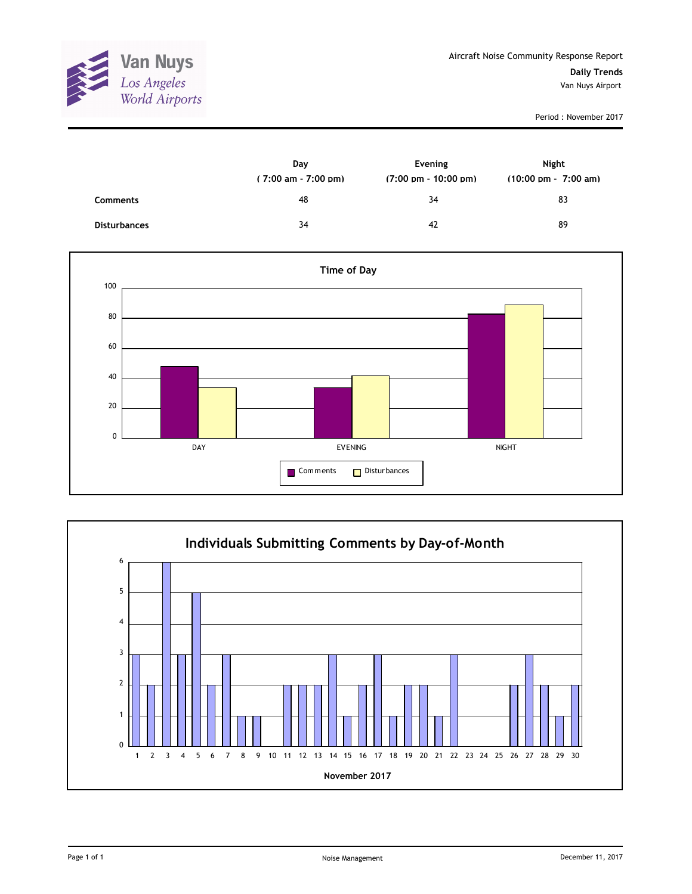

|                     | Day<br>$(7:00 \text{ am} - 7:00 \text{ pm})$ | Evening<br>$(7:00 \text{ pm} - 10:00 \text{ pm})$ | <b>Night</b><br>$(10:00 \text{ pm} - 7:00 \text{ am})$ |
|---------------------|----------------------------------------------|---------------------------------------------------|--------------------------------------------------------|
| <b>Comments</b>     | 48                                           | 34                                                | 83                                                     |
| <b>Disturbances</b> | 34                                           | 42                                                | 89                                                     |



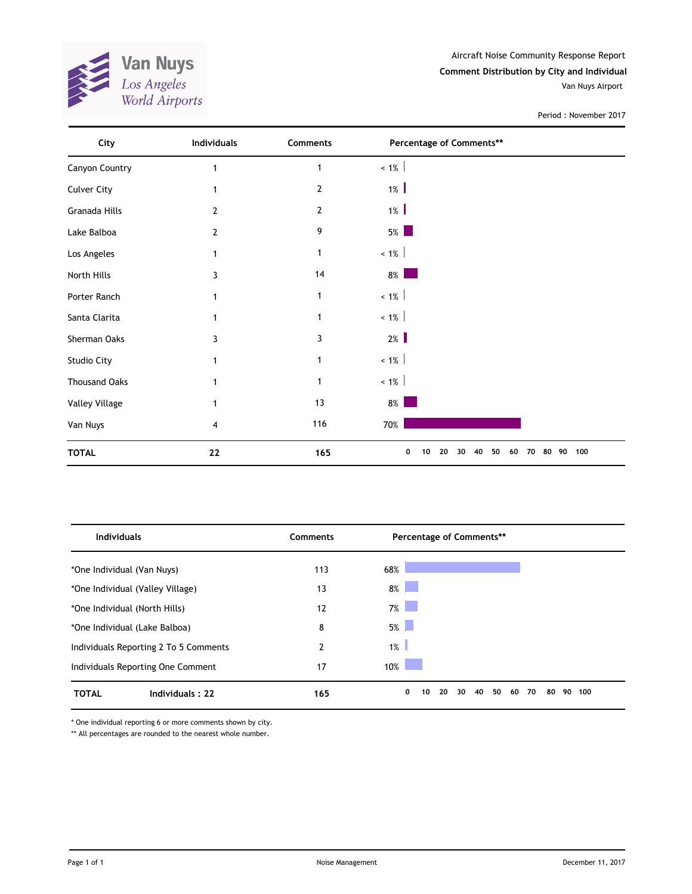

Aircraft Noise Community Response Report **Comment Distribution by City and Individual** Van Nuys Airport

Period : November 2017

| City                 | Individuals    | Comments       | Percentage of Comments**                             |     |
|----------------------|----------------|----------------|------------------------------------------------------|-----|
| Canyon Country       |                | $\mathbf{1}$   | $< 1\%$                                              |     |
| <b>Culver City</b>   |                | $\overline{2}$ | $1\%$                                                |     |
| Granada Hills        | 2              | $\mathbf{2}$   | $1\%$                                                |     |
| Lake Balboa          | $\overline{2}$ | 9              | $5\%$                                                |     |
| Los Angeles          | 1              | 1              | $< 1\%$                                              |     |
| North Hills          | 3              | 14             | $8\%$                                                |     |
| Porter Ranch         |                | 1              | $~1\%$                                               |     |
| Santa Clarita        |                | 1              | $< 1\%$                                              |     |
| Sherman Oaks         | 3              | 3              | 2%                                                   |     |
| Studio City          | 1              | 1              | $~1\%$                                               |     |
| <b>Thousand Oaks</b> |                | 1              | $~1\%$                                               |     |
| Valley Village       |                | 13             | $8\%$                                                |     |
| Van Nuys             | 4              | 116            | 70%                                                  |     |
| <b>TOTAL</b>         | ${\bf 22}$     | 165            | 0<br>20<br>40<br>50<br>60<br>70<br>80 90<br>10<br>30 | 100 |

| <b>Individuals</b>                    | Comments | Percentage of Comments**                                                                                                     |                 |
|---------------------------------------|----------|------------------------------------------------------------------------------------------------------------------------------|-----------------|
| *One Individual (Van Nuys)            | 113      | 68%                                                                                                                          |                 |
| *One Individual (Valley Village)      | 13       | 8%                                                                                                                           |                 |
| *One Individual (North Hills)         | 12       | 7%                                                                                                                           |                 |
| *One Individual (Lake Balboa)         | 8        | 5%                                                                                                                           |                 |
| Individuals Reporting 2 To 5 Comments | 2        | $1\%$                                                                                                                        |                 |
| Individuals Reporting One Comment     | 17       | 10%<br><b>Contract Contract Contract Contract Contract Contract Contract Contract Contract Contract Contract Contract Co</b> |                 |
| <b>TOTAL</b><br>Individuals: 22       | 165      | 50<br>0<br>20<br>30<br>40<br>60<br>70<br>10                                                                                  | 80<br>90<br>100 |

\* One individual reporting 6 or more comments shown by city.

\*\* All percentages are rounded to the nearest whole number.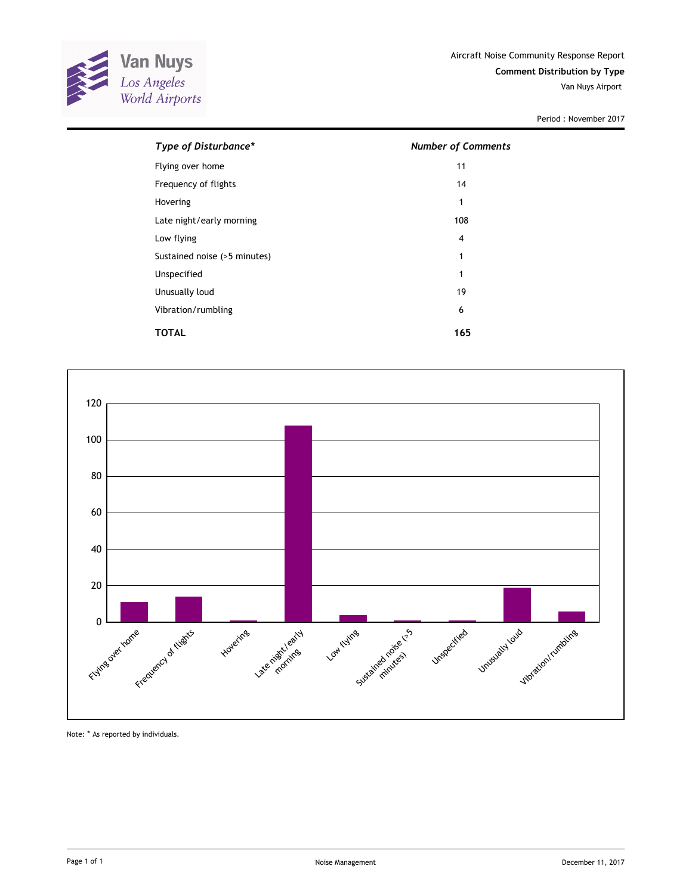

| Type of Disturbance*         | <b>Number of Comments</b> |
|------------------------------|---------------------------|
| Flying over home             | 11                        |
| Frequency of flights         | 14                        |
| Hovering                     | 1                         |
| Late night/early morning     | 108                       |
| Low flying                   | 4                         |
| Sustained noise (>5 minutes) | 1                         |
| Unspecified                  | 1                         |
| Unusually loud               | 19                        |
| Vibration/rumbling           | 6                         |
| TOTAL                        | 165                       |



Note: \* As reported by individuals.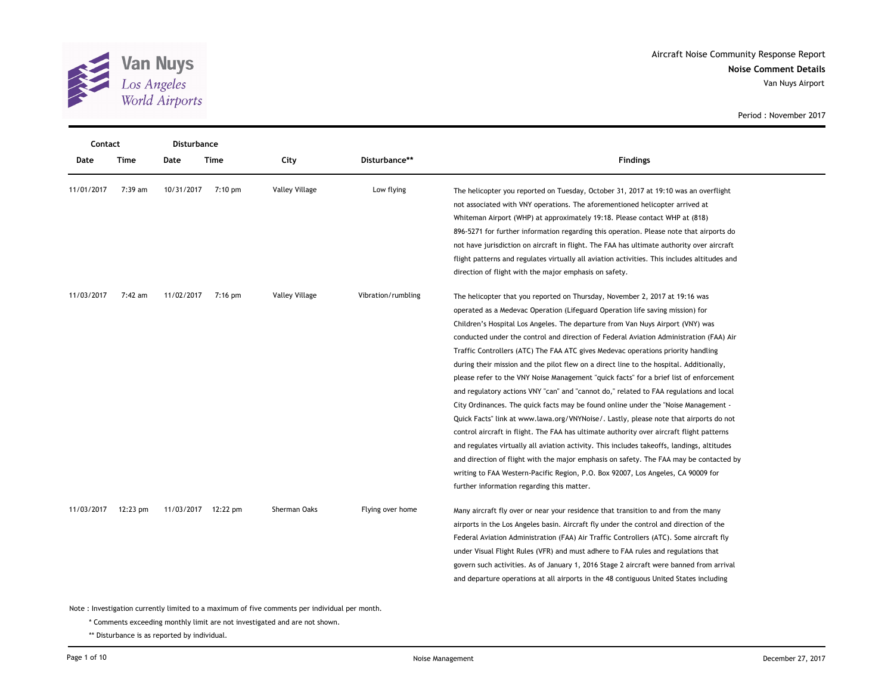

| Contact    |            | Disturbance |                     |                       |                    |                                                                                                                                                                                                                                                                                                                                                                                                                                                                                                                                                                                                                                                                                                                                                                                                                                                                                                                                                                                                                                                                                                                                                                                                                                                                                                                  |
|------------|------------|-------------|---------------------|-----------------------|--------------------|------------------------------------------------------------------------------------------------------------------------------------------------------------------------------------------------------------------------------------------------------------------------------------------------------------------------------------------------------------------------------------------------------------------------------------------------------------------------------------------------------------------------------------------------------------------------------------------------------------------------------------------------------------------------------------------------------------------------------------------------------------------------------------------------------------------------------------------------------------------------------------------------------------------------------------------------------------------------------------------------------------------------------------------------------------------------------------------------------------------------------------------------------------------------------------------------------------------------------------------------------------------------------------------------------------------|
| Date       | Time       | Date        | Time                | City                  | Disturbance**      | Findings                                                                                                                                                                                                                                                                                                                                                                                                                                                                                                                                                                                                                                                                                                                                                                                                                                                                                                                                                                                                                                                                                                                                                                                                                                                                                                         |
| 11/01/2017 | 7:39 am    | 10/31/2017  | $7:10 \text{ pm}$   | <b>Valley Village</b> | Low flying         | The helicopter you reported on Tuesday, October 31, 2017 at 19:10 was an overflight<br>not associated with VNY operations. The aforementioned helicopter arrived at<br>Whiteman Airport (WHP) at approximately 19:18. Please contact WHP at (818)<br>896-5271 for further information regarding this operation. Please note that airports do<br>not have jurisdiction on aircraft in flight. The FAA has ultimate authority over aircraft<br>flight patterns and regulates virtually all aviation activities. This includes altitudes and<br>direction of flight with the major emphasis on safety.                                                                                                                                                                                                                                                                                                                                                                                                                                                                                                                                                                                                                                                                                                              |
| 11/03/2017 | 7:42 am    | 11/02/2017  | 7:16 pm             | <b>Valley Village</b> | Vibration/rumbling | The helicopter that you reported on Thursday, November 2, 2017 at 19:16 was<br>operated as a Medevac Operation (Lifeguard Operation life saving mission) for<br>Children's Hospital Los Angeles. The departure from Van Nuys Airport (VNY) was<br>conducted under the control and direction of Federal Aviation Administration (FAA) Air<br>Traffic Controllers (ATC) The FAA ATC gives Medevac operations priority handling<br>during their mission and the pilot flew on a direct line to the hospital. Additionally,<br>please refer to the VNY Noise Management "quick facts" for a brief list of enforcement<br>and regulatory actions VNY "can" and "cannot do," related to FAA regulations and local<br>City Ordinances. The quick facts may be found online under the "Noise Management -<br>Quick Facts" link at www.lawa.org/VNYNoise/. Lastly, please note that airports do not<br>control aircraft in flight. The FAA has ultimate authority over aircraft flight patterns<br>and regulates virtually all aviation activity. This includes takeoffs, landings, altitudes<br>and direction of flight with the major emphasis on safety. The FAA may be contacted by<br>writing to FAA Western-Pacific Region, P.O. Box 92007, Los Angeles, CA 90009 for<br>further information regarding this matter. |
| 11/03/2017 | $12:23$ pm |             | 11/03/2017 12:22 pm | Sherman Oaks          | Flying over home   | Many aircraft fly over or near your residence that transition to and from the many<br>airports in the Los Angeles basin. Aircraft fly under the control and direction of the<br>Federal Aviation Administration (FAA) Air Traffic Controllers (ATC). Some aircraft fly<br>under Visual Flight Rules (VFR) and must adhere to FAA rules and regulations that<br>govern such activities. As of January 1, 2016 Stage 2 aircraft were banned from arrival<br>and departure operations at all airports in the 48 contiguous United States including                                                                                                                                                                                                                                                                                                                                                                                                                                                                                                                                                                                                                                                                                                                                                                  |

Note : Investigation currently limited to a maximum of five comments per individual per month.

\* Comments exceeding monthly limit are not investigated and are not shown.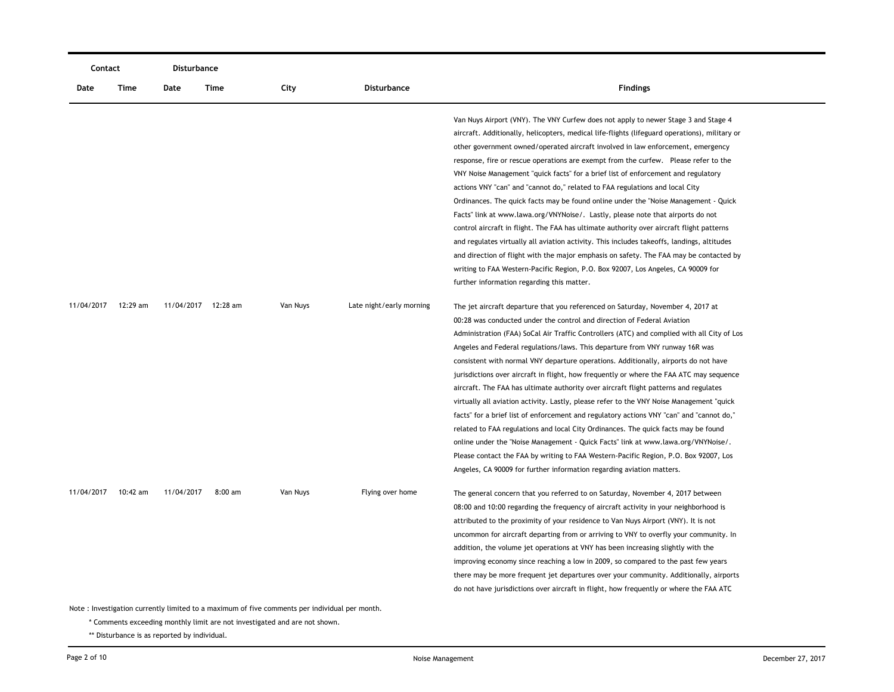| Contact    |                                                                                               | Disturbance         |           |          |                          |                                                                                                                                                                                                                                                                                                                                                                                                                                                                                                                                                                                                                                                                                                                                                                                                                                                                                                                                                                                                                                                                                                                                                        |  |  |
|------------|-----------------------------------------------------------------------------------------------|---------------------|-----------|----------|--------------------------|--------------------------------------------------------------------------------------------------------------------------------------------------------------------------------------------------------------------------------------------------------------------------------------------------------------------------------------------------------------------------------------------------------------------------------------------------------------------------------------------------------------------------------------------------------------------------------------------------------------------------------------------------------------------------------------------------------------------------------------------------------------------------------------------------------------------------------------------------------------------------------------------------------------------------------------------------------------------------------------------------------------------------------------------------------------------------------------------------------------------------------------------------------|--|--|
| Date       | Time                                                                                          | Date                | Time      | City     | <b>Disturbance</b>       | <b>Findings</b>                                                                                                                                                                                                                                                                                                                                                                                                                                                                                                                                                                                                                                                                                                                                                                                                                                                                                                                                                                                                                                                                                                                                        |  |  |
|            |                                                                                               |                     |           |          |                          | Van Nuys Airport (VNY). The VNY Curfew does not apply to newer Stage 3 and Stage 4<br>aircraft. Additionally, helicopters, medical life-flights (lifeguard operations), military or<br>other government owned/operated aircraft involved in law enforcement, emergency<br>response, fire or rescue operations are exempt from the curfew. Please refer to the<br>VNY Noise Management "quick facts" for a brief list of enforcement and regulatory<br>actions VNY "can" and "cannot do," related to FAA regulations and local City<br>Ordinances. The quick facts may be found online under the "Noise Management - Quick<br>Facts" link at www.lawa.org/VNYNoise/. Lastly, please note that airports do not<br>control aircraft in flight. The FAA has ultimate authority over aircraft flight patterns<br>and regulates virtually all aviation activity. This includes takeoffs, landings, altitudes<br>and direction of flight with the major emphasis on safety. The FAA may be contacted by<br>writing to FAA Western-Pacific Region, P.O. Box 92007, Los Angeles, CA 90009 for<br>further information regarding this matter.                     |  |  |
| 11/04/2017 | 12:29 am                                                                                      | 11/04/2017 12:28 am |           | Van Nuys | Late night/early morning | The jet aircraft departure that you referenced on Saturday, November 4, 2017 at<br>00:28 was conducted under the control and direction of Federal Aviation<br>Administration (FAA) SoCal Air Traffic Controllers (ATC) and complied with all City of Los<br>Angeles and Federal regulations/laws. This departure from VNY runway 16R was<br>consistent with normal VNY departure operations. Additionally, airports do not have<br>jurisdictions over aircraft in flight, how frequently or where the FAA ATC may sequence<br>aircraft. The FAA has ultimate authority over aircraft flight patterns and regulates<br>virtually all aviation activity. Lastly, please refer to the VNY Noise Management "quick<br>facts" for a brief list of enforcement and regulatory actions VNY "can" and "cannot do,"<br>related to FAA regulations and local City Ordinances. The quick facts may be found<br>online under the "Noise Management - Quick Facts" link at www.lawa.org/VNYNoise/.<br>Please contact the FAA by writing to FAA Western-Pacific Region, P.O. Box 92007, Los<br>Angeles, CA 90009 for further information regarding aviation matters. |  |  |
| 11/04/2017 | 10:42 am                                                                                      | 11/04/2017          | $8:00$ am | Van Nuys | Flying over home         | The general concern that you referred to on Saturday, November 4, 2017 between<br>08:00 and 10:00 regarding the frequency of aircraft activity in your neighborhood is<br>attributed to the proximity of your residence to Van Nuys Airport (VNY). It is not<br>uncommon for aircraft departing from or arriving to VNY to overfly your community. In<br>addition, the volume jet operations at VNY has been increasing slightly with the<br>improving economy since reaching a low in 2009, so compared to the past few years<br>there may be more frequent jet departures over your community. Additionally, airports<br>do not have jurisdictions over aircraft in flight, how frequently or where the FAA ATC                                                                                                                                                                                                                                                                                                                                                                                                                                      |  |  |
|            | Note: Investigation currently limited to a maximum of five comments per individual per month. |                     |           |          |                          |                                                                                                                                                                                                                                                                                                                                                                                                                                                                                                                                                                                                                                                                                                                                                                                                                                                                                                                                                                                                                                                                                                                                                        |  |  |

\* Comments exceeding monthly limit are not investigated and are not shown.

\*\* Disturbance is as reported by individual.

—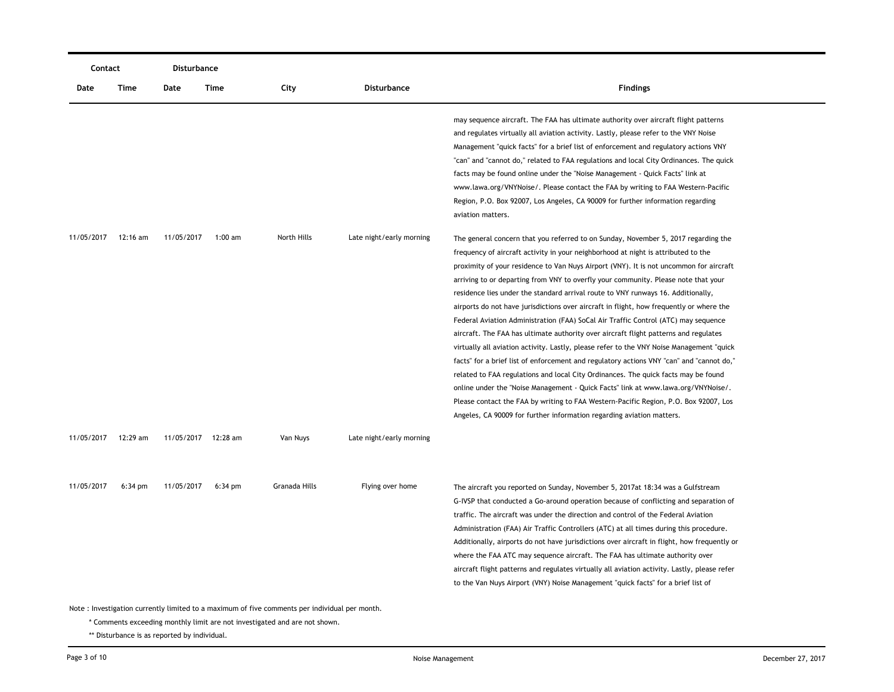| Contact                                                                                       |                   | Disturbance         |                   |               |                          |                                                                                                                                                                                                                                                                                                                                                                                                                                                                                                                                                                                                                                                                                                                                                                                                                                                                                                                                                                                                                                                                                                                                                                                                                                                          |  |  |
|-----------------------------------------------------------------------------------------------|-------------------|---------------------|-------------------|---------------|--------------------------|----------------------------------------------------------------------------------------------------------------------------------------------------------------------------------------------------------------------------------------------------------------------------------------------------------------------------------------------------------------------------------------------------------------------------------------------------------------------------------------------------------------------------------------------------------------------------------------------------------------------------------------------------------------------------------------------------------------------------------------------------------------------------------------------------------------------------------------------------------------------------------------------------------------------------------------------------------------------------------------------------------------------------------------------------------------------------------------------------------------------------------------------------------------------------------------------------------------------------------------------------------|--|--|
| Date                                                                                          | Time              | Date                | Time              | City          | <b>Disturbance</b>       | <b>Findings</b>                                                                                                                                                                                                                                                                                                                                                                                                                                                                                                                                                                                                                                                                                                                                                                                                                                                                                                                                                                                                                                                                                                                                                                                                                                          |  |  |
|                                                                                               |                   |                     |                   |               |                          | may sequence aircraft. The FAA has ultimate authority over aircraft flight patterns<br>and regulates virtually all aviation activity. Lastly, please refer to the VNY Noise<br>Management "quick facts" for a brief list of enforcement and regulatory actions VNY<br>"can" and "cannot do," related to FAA regulations and local City Ordinances. The quick<br>facts may be found online under the "Noise Management - Quick Facts" link at<br>www.lawa.org/VNYNoise/. Please contact the FAA by writing to FAA Western-Pacific<br>Region, P.O. Box 92007, Los Angeles, CA 90009 for further information regarding<br>aviation matters.                                                                                                                                                                                                                                                                                                                                                                                                                                                                                                                                                                                                                 |  |  |
| 11/05/2017                                                                                    | $12:16$ am        | 11/05/2017          | $1:00 \text{ am}$ | North Hills   | Late night/early morning | The general concern that you referred to on Sunday, November 5, 2017 regarding the<br>frequency of aircraft activity in your neighborhood at night is attributed to the<br>proximity of your residence to Van Nuys Airport (VNY). It is not uncommon for aircraft<br>arriving to or departing from VNY to overfly your community. Please note that your<br>residence lies under the standard arrival route to VNY runways 16. Additionally,<br>airports do not have jurisdictions over aircraft in flight, how frequently or where the<br>Federal Aviation Administration (FAA) SoCal Air Traffic Control (ATC) may sequence<br>aircraft. The FAA has ultimate authority over aircraft flight patterns and regulates<br>virtually all aviation activity. Lastly, please refer to the VNY Noise Management "quick<br>facts" for a brief list of enforcement and regulatory actions VNY "can" and "cannot do,"<br>related to FAA regulations and local City Ordinances. The quick facts may be found<br>online under the "Noise Management - Quick Facts" link at www.lawa.org/VNYNoise/.<br>Please contact the FAA by writing to FAA Western-Pacific Region, P.O. Box 92007, Los<br>Angeles, CA 90009 for further information regarding aviation matters. |  |  |
| 11/05/2017                                                                                    | 12:29 am          | 11/05/2017 12:28 am |                   | Van Nuys      | Late night/early morning |                                                                                                                                                                                                                                                                                                                                                                                                                                                                                                                                                                                                                                                                                                                                                                                                                                                                                                                                                                                                                                                                                                                                                                                                                                                          |  |  |
| 11/05/2017                                                                                    | $6:34 \text{ pm}$ | 11/05/2017          | $6:34 \text{ pm}$ | Granada Hills | Flying over home         | The aircraft you reported on Sunday, November 5, 2017at 18:34 was a Gulfstream<br>G-IVSP that conducted a Go-around operation because of conflicting and separation of<br>traffic. The aircraft was under the direction and control of the Federal Aviation<br>Administration (FAA) Air Traffic Controllers (ATC) at all times during this procedure.<br>Additionally, airports do not have jurisdictions over aircraft in flight, how frequently or<br>where the FAA ATC may sequence aircraft. The FAA has ultimate authority over<br>aircraft flight patterns and regulates virtually all aviation activity. Lastly, please refer<br>to the Van Nuys Airport (VNY) Noise Management "quick facts" for a brief list of                                                                                                                                                                                                                                                                                                                                                                                                                                                                                                                                 |  |  |
| Note: Investigation currently limited to a maximum of five comments per individual per month. |                   |                     |                   |               |                          |                                                                                                                                                                                                                                                                                                                                                                                                                                                                                                                                                                                                                                                                                                                                                                                                                                                                                                                                                                                                                                                                                                                                                                                                                                                          |  |  |

\* Comments exceeding monthly limit are not investigated and are not shown.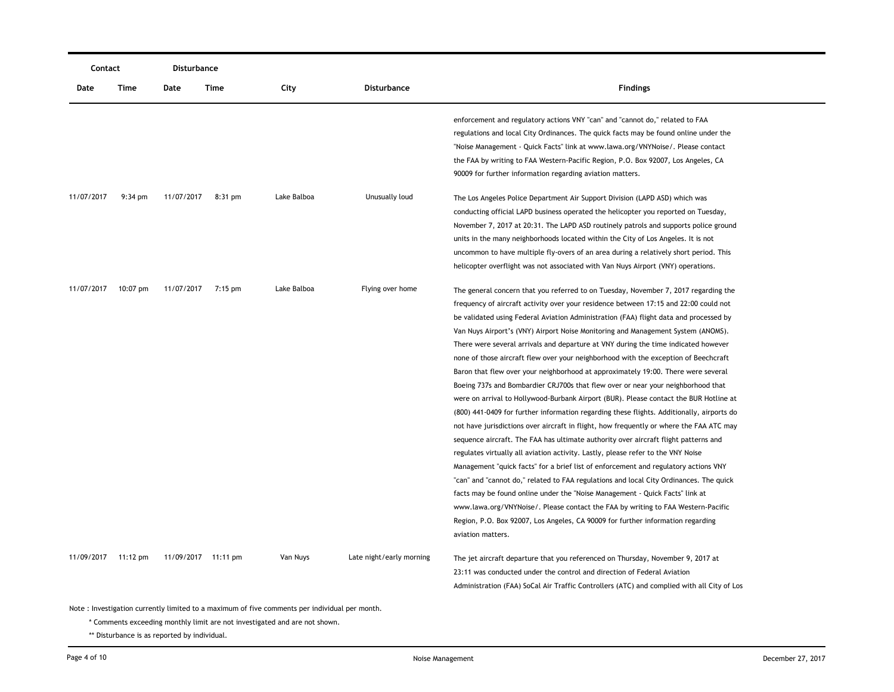| Contact    |                   | <b>Disturbance</b> |                     |             |                          |                                                                                            |  |  |
|------------|-------------------|--------------------|---------------------|-------------|--------------------------|--------------------------------------------------------------------------------------------|--|--|
| Date       | Time              | Date               | Time                | City        | <b>Disturbance</b>       | <b>Findings</b>                                                                            |  |  |
|            |                   |                    |                     |             |                          | enforcement and regulatory actions VNY "can" and "cannot do," related to FAA               |  |  |
|            |                   |                    |                     |             |                          | regulations and local City Ordinances. The quick facts may be found online under the       |  |  |
|            |                   |                    |                     |             |                          | "Noise Management - Quick Facts" link at www.lawa.org/VNYNoise/. Please contact            |  |  |
|            |                   |                    |                     |             |                          | the FAA by writing to FAA Western-Pacific Region, P.O. Box 92007, Los Angeles, CA          |  |  |
|            |                   |                    |                     |             |                          | 90009 for further information regarding aviation matters.                                  |  |  |
| 11/07/2017 | $9:34 \text{ pm}$ | 11/07/2017         | $8:31$ pm           | Lake Balboa | Unusually loud           | The Los Angeles Police Department Air Support Division (LAPD ASD) which was                |  |  |
|            |                   |                    |                     |             |                          | conducting official LAPD business operated the helicopter you reported on Tuesday,         |  |  |
|            |                   |                    |                     |             |                          | November 7, 2017 at 20:31. The LAPD ASD routinely patrols and supports police ground       |  |  |
|            |                   |                    |                     |             |                          | units in the many neighborhoods located within the City of Los Angeles. It is not          |  |  |
|            |                   |                    |                     |             |                          | uncommon to have multiple fly-overs of an area during a relatively short period. This      |  |  |
|            |                   |                    |                     |             |                          | helicopter overflight was not associated with Van Nuys Airport (VNY) operations.           |  |  |
| 11/07/2017 | $10:07$ pm        | 11/07/2017         | 7:15 pm             | Lake Balboa | Flying over home         | The general concern that you referred to on Tuesday, November 7, 2017 regarding the        |  |  |
|            |                   |                    |                     |             |                          | frequency of aircraft activity over your residence between 17:15 and 22:00 could not       |  |  |
|            |                   |                    |                     |             |                          | be validated using Federal Aviation Administration (FAA) flight data and processed by      |  |  |
|            |                   |                    |                     |             |                          | Van Nuys Airport's (VNY) Airport Noise Monitoring and Management System (ANOMS).           |  |  |
|            |                   |                    |                     |             |                          | There were several arrivals and departure at VNY during the time indicated however         |  |  |
|            |                   |                    |                     |             |                          | none of those aircraft flew over your neighborhood with the exception of Beechcraft        |  |  |
|            |                   |                    |                     |             |                          | Baron that flew over your neighborhood at approximately 19:00. There were several          |  |  |
|            |                   |                    |                     |             |                          | Boeing 737s and Bombardier CRJ700s that flew over or near your neighborhood that           |  |  |
|            |                   |                    |                     |             |                          | were on arrival to Hollywood-Burbank Airport (BUR). Please contact the BUR Hotline at      |  |  |
|            |                   |                    |                     |             |                          | (800) 441-0409 for further information regarding these flights. Additionally, airports do  |  |  |
|            |                   |                    |                     |             |                          | not have jurisdictions over aircraft in flight, how frequently or where the FAA ATC may    |  |  |
|            |                   |                    |                     |             |                          | sequence aircraft. The FAA has ultimate authority over aircraft flight patterns and        |  |  |
|            |                   |                    |                     |             |                          | regulates virtually all aviation activity. Lastly, please refer to the VNY Noise           |  |  |
|            |                   |                    |                     |             |                          | Management "quick facts" for a brief list of enforcement and regulatory actions VNY        |  |  |
|            |                   |                    |                     |             |                          | "can" and "cannot do," related to FAA regulations and local City Ordinances. The quick     |  |  |
|            |                   |                    |                     |             |                          | facts may be found online under the "Noise Management - Quick Facts" link at               |  |  |
|            |                   |                    |                     |             |                          | www.lawa.org/VNYNoise/. Please contact the FAA by writing to FAA Western-Pacific           |  |  |
|            |                   |                    |                     |             |                          | Region, P.O. Box 92007, Los Angeles, CA 90009 for further information regarding            |  |  |
|            |                   |                    |                     |             |                          | aviation matters.                                                                          |  |  |
| 11/09/2017 | 11:12 $pm$        |                    | 11/09/2017 11:11 pm | Van Nuys    | Late night/early morning | The jet aircraft departure that you referenced on Thursday, November 9, 2017 at            |  |  |
|            |                   |                    |                     |             |                          | 23:11 was conducted under the control and direction of Federal Aviation                    |  |  |
|            |                   |                    |                     |             |                          | Administration (FAA) SoCal Air Traffic Controllers (ATC) and complied with all City of Los |  |  |
|            |                   |                    |                     |             |                          |                                                                                            |  |  |

\* Comments exceeding monthly limit are not investigated and are not shown.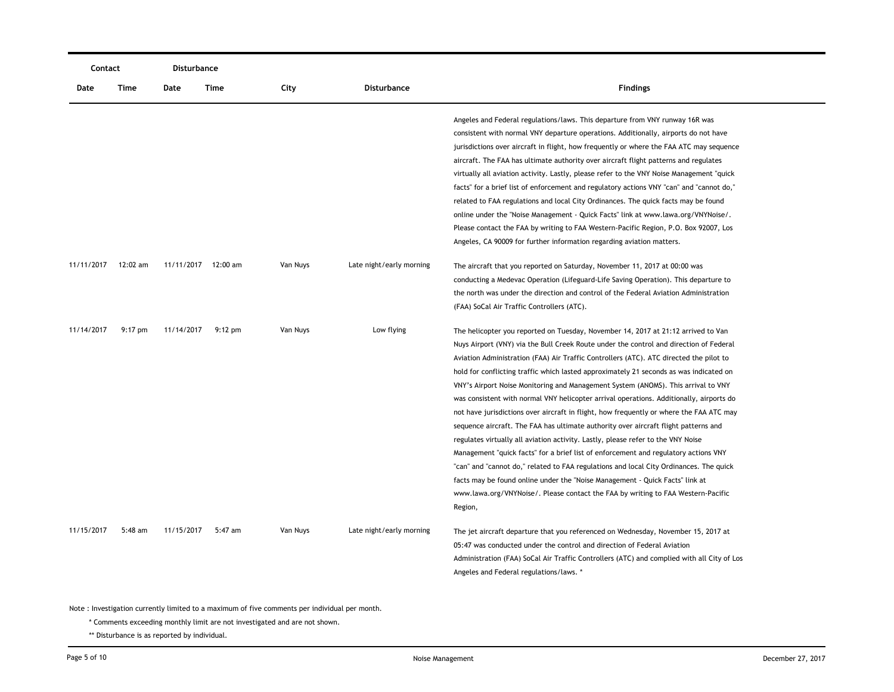|            | Contact   |                     | <b>Disturbance</b> |          |                          |                                                                                                                                                                                                                                                                                                                                                                                                                                                                                                                                                                                                                                                                                                                                                                                                                                                                                                                                                                                                                                                                                                                                                                                       |
|------------|-----------|---------------------|--------------------|----------|--------------------------|---------------------------------------------------------------------------------------------------------------------------------------------------------------------------------------------------------------------------------------------------------------------------------------------------------------------------------------------------------------------------------------------------------------------------------------------------------------------------------------------------------------------------------------------------------------------------------------------------------------------------------------------------------------------------------------------------------------------------------------------------------------------------------------------------------------------------------------------------------------------------------------------------------------------------------------------------------------------------------------------------------------------------------------------------------------------------------------------------------------------------------------------------------------------------------------|
| Date       | Time      | Date                | Time               | City     | Disturbance              | <b>Findings</b>                                                                                                                                                                                                                                                                                                                                                                                                                                                                                                                                                                                                                                                                                                                                                                                                                                                                                                                                                                                                                                                                                                                                                                       |
|            |           |                     |                    |          |                          | Angeles and Federal regulations/laws. This departure from VNY runway 16R was<br>consistent with normal VNY departure operations. Additionally, airports do not have<br>jurisdictions over aircraft in flight, how frequently or where the FAA ATC may sequence<br>aircraft. The FAA has ultimate authority over aircraft flight patterns and regulates<br>virtually all aviation activity. Lastly, please refer to the VNY Noise Management "quick                                                                                                                                                                                                                                                                                                                                                                                                                                                                                                                                                                                                                                                                                                                                    |
|            |           |                     |                    |          |                          | facts" for a brief list of enforcement and regulatory actions VNY "can" and "cannot do,"<br>related to FAA regulations and local City Ordinances. The quick facts may be found<br>online under the "Noise Management - Quick Facts" link at www.lawa.org/VNYNoise/.<br>Please contact the FAA by writing to FAA Western-Pacific Region, P.O. Box 92007, Los<br>Angeles, CA 90009 for further information regarding aviation matters.                                                                                                                                                                                                                                                                                                                                                                                                                                                                                                                                                                                                                                                                                                                                                  |
| 11/11/2017 | 12:02 am  | 11/11/2017 12:00 am |                    | Van Nuys | Late night/early morning | The aircraft that you reported on Saturday, November 11, 2017 at 00:00 was<br>conducting a Medevac Operation (Lifeguard-Life Saving Operation). This departure to<br>the north was under the direction and control of the Federal Aviation Administration<br>(FAA) SoCal Air Traffic Controllers (ATC).                                                                                                                                                                                                                                                                                                                                                                                                                                                                                                                                                                                                                                                                                                                                                                                                                                                                               |
| 11/14/2017 | $9:17$ pm | 11/14/2017          | $9:12 \text{ pm}$  | Van Nuys | Low flying               | The helicopter you reported on Tuesday, November 14, 2017 at 21:12 arrived to Van<br>Nuys Airport (VNY) via the Bull Creek Route under the control and direction of Federal<br>Aviation Administration (FAA) Air Traffic Controllers (ATC). ATC directed the pilot to<br>hold for conflicting traffic which lasted approximately 21 seconds as was indicated on<br>VNY's Airport Noise Monitoring and Management System (ANOMS). This arrival to VNY<br>was consistent with normal VNY helicopter arrival operations. Additionally, airports do<br>not have jurisdictions over aircraft in flight, how frequently or where the FAA ATC may<br>sequence aircraft. The FAA has ultimate authority over aircraft flight patterns and<br>regulates virtually all aviation activity. Lastly, please refer to the VNY Noise<br>Management "quick facts" for a brief list of enforcement and regulatory actions VNY<br>"can" and "cannot do," related to FAA regulations and local City Ordinances. The quick<br>facts may be found online under the "Noise Management - Quick Facts" link at<br>www.lawa.org/VNYNoise/. Please contact the FAA by writing to FAA Western-Pacific<br>Region, |
| 11/15/2017 | 5:48 am   | 11/15/2017          | 5:47 am            | Van Nuys | Late night/early morning | The jet aircraft departure that you referenced on Wednesday, November 15, 2017 at<br>05:47 was conducted under the control and direction of Federal Aviation<br>Administration (FAA) SoCal Air Traffic Controllers (ATC) and complied with all City of Los<br>Angeles and Federal regulations/laws. *                                                                                                                                                                                                                                                                                                                                                                                                                                                                                                                                                                                                                                                                                                                                                                                                                                                                                 |

\* Comments exceeding monthly limit are not investigated and are not shown.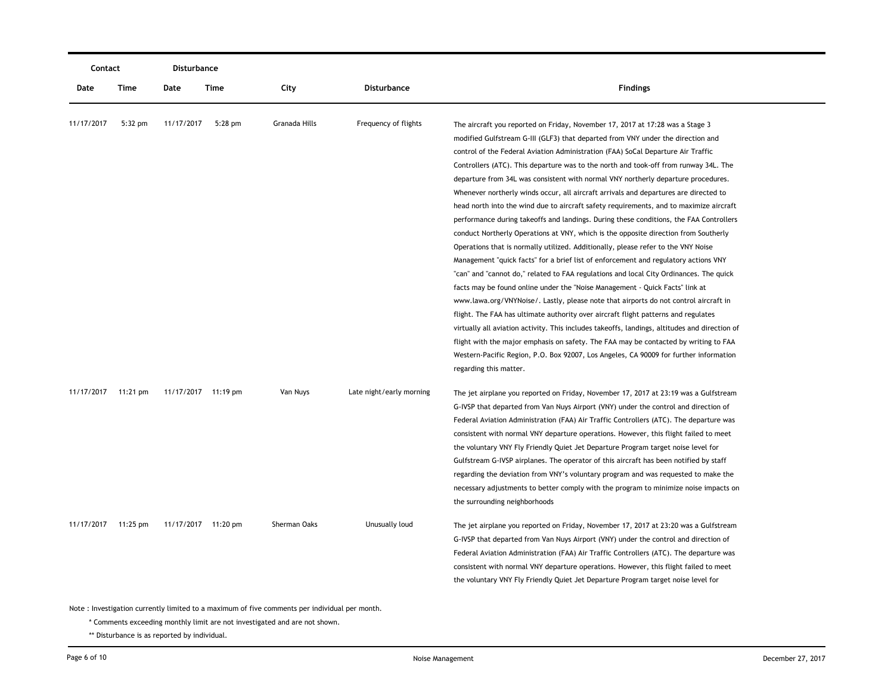| Contact    |           | Disturbance         |           |               |                          |                                                                                                                                                                                                                                                                                                                                                                                                                                                                                                                                                                                                                                                                                                                                                                                                                                                                                                                                                                                                                                                                                                                                                                                                                                                                                                                                                                                                                                                                                                                                                                                                                                                      |
|------------|-----------|---------------------|-----------|---------------|--------------------------|------------------------------------------------------------------------------------------------------------------------------------------------------------------------------------------------------------------------------------------------------------------------------------------------------------------------------------------------------------------------------------------------------------------------------------------------------------------------------------------------------------------------------------------------------------------------------------------------------------------------------------------------------------------------------------------------------------------------------------------------------------------------------------------------------------------------------------------------------------------------------------------------------------------------------------------------------------------------------------------------------------------------------------------------------------------------------------------------------------------------------------------------------------------------------------------------------------------------------------------------------------------------------------------------------------------------------------------------------------------------------------------------------------------------------------------------------------------------------------------------------------------------------------------------------------------------------------------------------------------------------------------------------|
| Date       | Time      | Date                | Time      | City          | <b>Disturbance</b>       | <b>Findings</b>                                                                                                                                                                                                                                                                                                                                                                                                                                                                                                                                                                                                                                                                                                                                                                                                                                                                                                                                                                                                                                                                                                                                                                                                                                                                                                                                                                                                                                                                                                                                                                                                                                      |
| 11/17/2017 | $5:32$ pm | 11/17/2017          | $5:28$ pm | Granada Hills | Frequency of flights     | The aircraft you reported on Friday, November 17, 2017 at 17:28 was a Stage 3<br>modified Gulfstream G-III (GLF3) that departed from VNY under the direction and<br>control of the Federal Aviation Administration (FAA) SoCal Departure Air Traffic<br>Controllers (ATC). This departure was to the north and took-off from runway 34L. The<br>departure from 34L was consistent with normal VNY northerly departure procedures.<br>Whenever northerly winds occur, all aircraft arrivals and departures are directed to<br>head north into the wind due to aircraft safety requirements, and to maximize aircraft<br>performance during takeoffs and landings. During these conditions, the FAA Controllers<br>conduct Northerly Operations at VNY, which is the opposite direction from Southerly<br>Operations that is normally utilized. Additionally, please refer to the VNY Noise<br>Management "quick facts" for a brief list of enforcement and regulatory actions VNY<br>"can" and "cannot do," related to FAA regulations and local City Ordinances. The quick<br>facts may be found online under the "Noise Management - Quick Facts" link at<br>www.lawa.org/VNYNoise/. Lastly, please note that airports do not control aircraft in<br>flight. The FAA has ultimate authority over aircraft flight patterns and regulates<br>virtually all aviation activity. This includes takeoffs, landings, altitudes and direction of<br>flight with the major emphasis on safety. The FAA may be contacted by writing to FAA<br>Western-Pacific Region, P.O. Box 92007, Los Angeles, CA 90009 for further information<br>regarding this matter. |
| 11/17/2017 | 11:21 pm  | 11/17/2017 11:19 pm |           | Van Nuys      | Late night/early morning | The jet airplane you reported on Friday, November 17, 2017 at 23:19 was a Gulfstream<br>G-IVSP that departed from Van Nuys Airport (VNY) under the control and direction of<br>Federal Aviation Administration (FAA) Air Traffic Controllers (ATC). The departure was<br>consistent with normal VNY departure operations. However, this flight failed to meet<br>the voluntary VNY Fly Friendly Quiet Jet Departure Program target noise level for<br>Gulfstream G-IVSP airplanes. The operator of this aircraft has been notified by staff<br>regarding the deviation from VNY's voluntary program and was requested to make the<br>necessary adjustments to better comply with the program to minimize noise impacts on<br>the surrounding neighborhoods                                                                                                                                                                                                                                                                                                                                                                                                                                                                                                                                                                                                                                                                                                                                                                                                                                                                                           |
| 11/17/2017 | 11:25 pm  | 11/17/2017 11:20 pm |           | Sherman Oaks  | Unusually loud           | The jet airplane you reported on Friday, November 17, 2017 at 23:20 was a Gulfstream<br>G-IVSP that departed from Van Nuys Airport (VNY) under the control and direction of<br>Federal Aviation Administration (FAA) Air Traffic Controllers (ATC). The departure was<br>consistent with normal VNY departure operations. However, this flight failed to meet<br>the voluntary VNY Fly Friendly Quiet Jet Departure Program target noise level for                                                                                                                                                                                                                                                                                                                                                                                                                                                                                                                                                                                                                                                                                                                                                                                                                                                                                                                                                                                                                                                                                                                                                                                                   |

\* Comments exceeding monthly limit are not investigated and are not shown.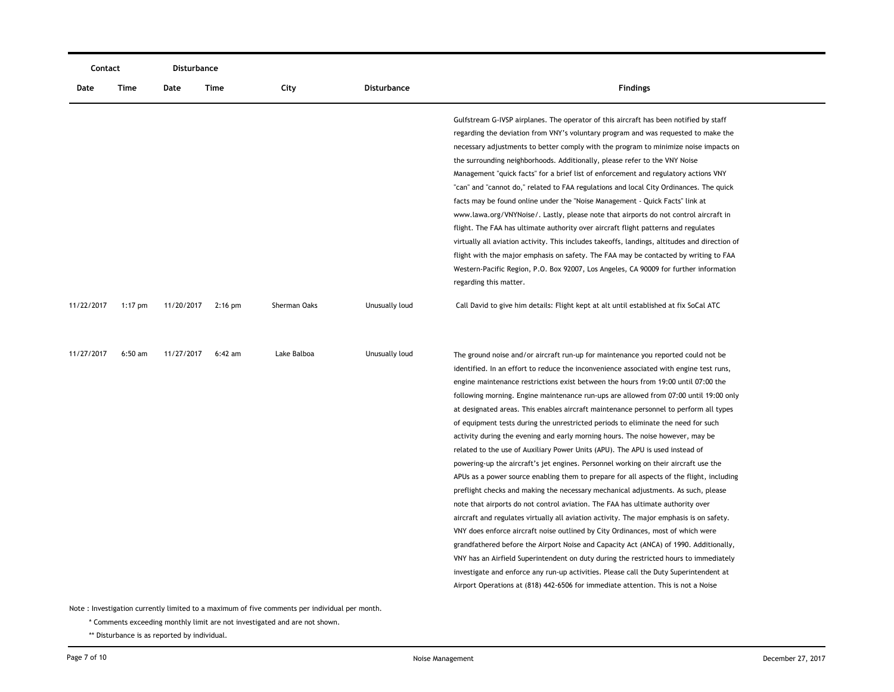| Contact    |           | Disturbance |           |              |                |                                                                                                                                                                                                                                                                                                                                                                                                                                                                                                                                                                                                                                                                                                                                                                                                                                                                                                                                                                                                                                                                                                                                                                                                                                                                                                                                                                                                                                                                                                                                                                                                                       |
|------------|-----------|-------------|-----------|--------------|----------------|-----------------------------------------------------------------------------------------------------------------------------------------------------------------------------------------------------------------------------------------------------------------------------------------------------------------------------------------------------------------------------------------------------------------------------------------------------------------------------------------------------------------------------------------------------------------------------------------------------------------------------------------------------------------------------------------------------------------------------------------------------------------------------------------------------------------------------------------------------------------------------------------------------------------------------------------------------------------------------------------------------------------------------------------------------------------------------------------------------------------------------------------------------------------------------------------------------------------------------------------------------------------------------------------------------------------------------------------------------------------------------------------------------------------------------------------------------------------------------------------------------------------------------------------------------------------------------------------------------------------------|
| Date       | Time      | Date        | Time      | City         | Disturbance    | <b>Findings</b>                                                                                                                                                                                                                                                                                                                                                                                                                                                                                                                                                                                                                                                                                                                                                                                                                                                                                                                                                                                                                                                                                                                                                                                                                                                                                                                                                                                                                                                                                                                                                                                                       |
|            |           |             |           |              |                | Gulfstream G-IVSP airplanes. The operator of this aircraft has been notified by staff<br>regarding the deviation from VNY's voluntary program and was requested to make the<br>necessary adjustments to better comply with the program to minimize noise impacts on<br>the surrounding neighborhoods. Additionally, please refer to the VNY Noise<br>Management "quick facts" for a brief list of enforcement and regulatory actions VNY<br>"can" and "cannot do," related to FAA regulations and local City Ordinances. The quick<br>facts may be found online under the "Noise Management - Quick Facts" link at<br>www.lawa.org/VNYNoise/. Lastly, please note that airports do not control aircraft in<br>flight. The FAA has ultimate authority over aircraft flight patterns and regulates<br>virtually all aviation activity. This includes takeoffs, landings, altitudes and direction of<br>flight with the major emphasis on safety. The FAA may be contacted by writing to FAA<br>Western-Pacific Region, P.O. Box 92007, Los Angeles, CA 90009 for further information<br>regarding this matter.                                                                                                                                                                                                                                                                                                                                                                                                                                                                                                          |
| 11/22/2017 | $1:17$ pm | 11/20/2017  | $2:16$ pm | Sherman Oaks | Unusually loud | Call David to give him details: Flight kept at alt until established at fix SoCal ATC                                                                                                                                                                                                                                                                                                                                                                                                                                                                                                                                                                                                                                                                                                                                                                                                                                                                                                                                                                                                                                                                                                                                                                                                                                                                                                                                                                                                                                                                                                                                 |
| 11/27/2017 | $6:50$ am | 11/27/2017  | $6:42$ am | Lake Balboa  | Unusually loud | The ground noise and/or aircraft run-up for maintenance you reported could not be<br>identified. In an effort to reduce the inconvenience associated with engine test runs,<br>engine maintenance restrictions exist between the hours from 19:00 until 07:00 the<br>following morning. Engine maintenance run-ups are allowed from 07:00 until 19:00 only<br>at designated areas. This enables aircraft maintenance personnel to perform all types<br>of equipment tests during the unrestricted periods to eliminate the need for such<br>activity during the evening and early morning hours. The noise however, may be<br>related to the use of Auxiliary Power Units (APU). The APU is used instead of<br>powering-up the aircraft's jet engines. Personnel working on their aircraft use the<br>APUs as a power source enabling them to prepare for all aspects of the flight, including<br>preflight checks and making the necessary mechanical adjustments. As such, please<br>note that airports do not control aviation. The FAA has ultimate authority over<br>aircraft and regulates virtually all aviation activity. The major emphasis is on safety.<br>VNY does enforce aircraft noise outlined by City Ordinances, most of which were<br>grandfathered before the Airport Noise and Capacity Act (ANCA) of 1990. Additionally,<br>VNY has an Airfield Superintendent on duty during the restricted hours to immediately<br>investigate and enforce any run-up activities. Please call the Duty Superintendent at<br>Airport Operations at (818) 442-6506 for immediate attention. This is not a Noise |

\* Comments exceeding monthly limit are not investigated and are not shown.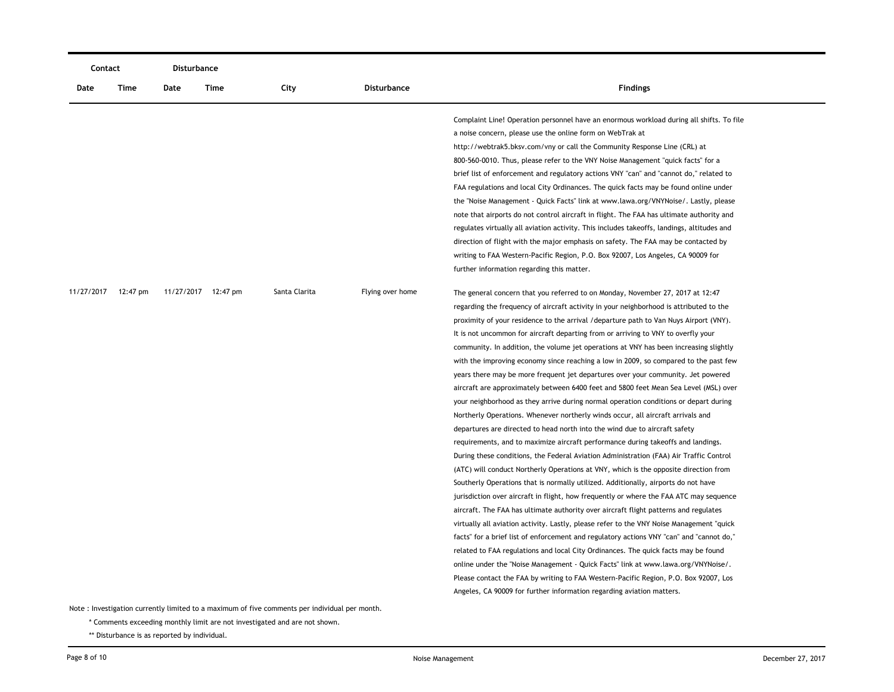|            | Contact  |      | Disturbance         |               |                  |                                                                                                                                                                                                                                                                                                                                                                                                                                                                                                                                                                                                                                                                                                                                                                                                                                                                                                                                                                                                                                                                                                                                                                                                                                                                                                                                                                                                                                                                                                                                                                                                                                                                                                                                                                                                                                                                                                                                                                                                                                                                |
|------------|----------|------|---------------------|---------------|------------------|----------------------------------------------------------------------------------------------------------------------------------------------------------------------------------------------------------------------------------------------------------------------------------------------------------------------------------------------------------------------------------------------------------------------------------------------------------------------------------------------------------------------------------------------------------------------------------------------------------------------------------------------------------------------------------------------------------------------------------------------------------------------------------------------------------------------------------------------------------------------------------------------------------------------------------------------------------------------------------------------------------------------------------------------------------------------------------------------------------------------------------------------------------------------------------------------------------------------------------------------------------------------------------------------------------------------------------------------------------------------------------------------------------------------------------------------------------------------------------------------------------------------------------------------------------------------------------------------------------------------------------------------------------------------------------------------------------------------------------------------------------------------------------------------------------------------------------------------------------------------------------------------------------------------------------------------------------------------------------------------------------------------------------------------------------------|
| Date       | Time     | Date | Time                | City          | Disturbance      | <b>Findings</b>                                                                                                                                                                                                                                                                                                                                                                                                                                                                                                                                                                                                                                                                                                                                                                                                                                                                                                                                                                                                                                                                                                                                                                                                                                                                                                                                                                                                                                                                                                                                                                                                                                                                                                                                                                                                                                                                                                                                                                                                                                                |
|            |          |      |                     |               |                  | Complaint Line! Operation personnel have an enormous workload during all shifts. To file<br>a noise concern, please use the online form on WebTrak at<br>http://webtrak5.bksv.com/vny or call the Community Response Line (CRL) at<br>800-560-0010. Thus, please refer to the VNY Noise Management "quick facts" for a<br>brief list of enforcement and regulatory actions VNY "can" and "cannot do," related to<br>FAA regulations and local City Ordinances. The quick facts may be found online under<br>the "Noise Management - Quick Facts" link at www.lawa.org/VNYNoise/. Lastly, please<br>note that airports do not control aircraft in flight. The FAA has ultimate authority and<br>regulates virtually all aviation activity. This includes takeoffs, landings, altitudes and<br>direction of flight with the major emphasis on safety. The FAA may be contacted by<br>writing to FAA Western-Pacific Region, P.O. Box 92007, Los Angeles, CA 90009 for<br>further information regarding this matter.                                                                                                                                                                                                                                                                                                                                                                                                                                                                                                                                                                                                                                                                                                                                                                                                                                                                                                                                                                                                                                              |
| 11/27/2017 | 12:47 pm |      | 11/27/2017 12:47 pm | Santa Clarita | Flying over home | The general concern that you referred to on Monday, November 27, 2017 at 12:47<br>regarding the frequency of aircraft activity in your neighborhood is attributed to the<br>proximity of your residence to the arrival /departure path to Van Nuys Airport (VNY).<br>It is not uncommon for aircraft departing from or arriving to VNY to overfly your<br>community. In addition, the volume jet operations at VNY has been increasing slightly<br>with the improving economy since reaching a low in 2009, so compared to the past few<br>years there may be more frequent jet departures over your community. Jet powered<br>aircraft are approximately between 6400 feet and 5800 feet Mean Sea Level (MSL) over<br>your neighborhood as they arrive during normal operation conditions or depart during<br>Northerly Operations. Whenever northerly winds occur, all aircraft arrivals and<br>departures are directed to head north into the wind due to aircraft safety<br>requirements, and to maximize aircraft performance during takeoffs and landings.<br>During these conditions, the Federal Aviation Administration (FAA) Air Traffic Control<br>(ATC) will conduct Northerly Operations at VNY, which is the opposite direction from<br>Southerly Operations that is normally utilized. Additionally, airports do not have<br>jurisdiction over aircraft in flight, how frequently or where the FAA ATC may sequence<br>aircraft. The FAA has ultimate authority over aircraft flight patterns and regulates<br>virtually all aviation activity. Lastly, please refer to the VNY Noise Management "quick<br>facts" for a brief list of enforcement and regulatory actions VNY "can" and "cannot do,"<br>related to FAA regulations and local City Ordinances. The quick facts may be found<br>online under the "Noise Management - Quick Facts" link at www.lawa.org/VNYNoise/.<br>Please contact the FAA by writing to FAA Western-Pacific Region, P.O. Box 92007, Los<br>Angeles, CA 90009 for further information regarding aviation matters. |

\* Comments exceeding monthly limit are not investigated and are not shown.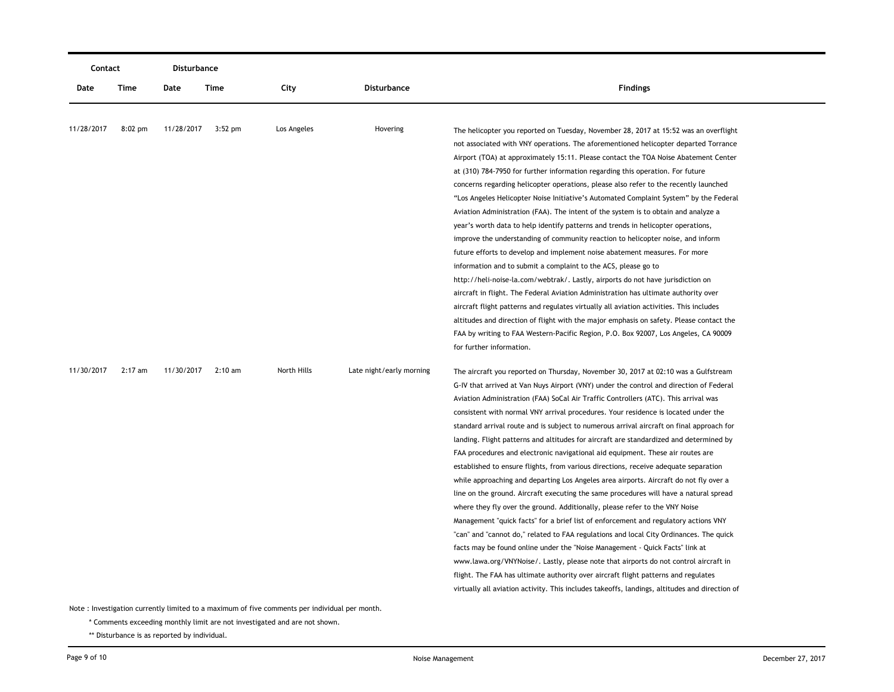| Contact    |           | Disturbance |           |             |                          |                                                                                               |
|------------|-----------|-------------|-----------|-------------|--------------------------|-----------------------------------------------------------------------------------------------|
| Date       | Time      | Date        | Time      | City        | Disturbance              | <b>Findings</b>                                                                               |
| 11/28/2017 | $8:02$ pm | 11/28/2017  | $3:52$ pm | Los Angeles | Hovering                 | The helicopter you reported on Tuesday, November 28, 2017 at 15:52 was an overflight          |
|            |           |             |           |             |                          | not associated with VNY operations. The aforementioned helicopter departed Torrance           |
|            |           |             |           |             |                          | Airport (TOA) at approximately 15:11. Please contact the TOA Noise Abatement Center           |
|            |           |             |           |             |                          | at (310) 784-7950 for further information regarding this operation. For future                |
|            |           |             |           |             |                          | concerns regarding helicopter operations, please also refer to the recently launched          |
|            |           |             |           |             |                          | "Los Angeles Helicopter Noise Initiative's Automated Complaint System" by the Federal         |
|            |           |             |           |             |                          | Aviation Administration (FAA). The intent of the system is to obtain and analyze a            |
|            |           |             |           |             |                          | year's worth data to help identify patterns and trends in helicopter operations,              |
|            |           |             |           |             |                          | improve the understanding of community reaction to helicopter noise, and inform               |
|            |           |             |           |             |                          | future efforts to develop and implement noise abatement measures. For more                    |
|            |           |             |           |             |                          | information and to submit a complaint to the ACS, please go to                                |
|            |           |             |           |             |                          | http://heli-noise-la.com/webtrak/. Lastly, airports do not have jurisdiction on               |
|            |           |             |           |             |                          | aircraft in flight. The Federal Aviation Administration has ultimate authority over           |
|            |           |             |           |             |                          | aircraft flight patterns and regulates virtually all aviation activities. This includes       |
|            |           |             |           |             |                          | altitudes and direction of flight with the major emphasis on safety. Please contact the       |
|            |           |             |           |             |                          | FAA by writing to FAA Western-Pacific Region, P.O. Box 92007, Los Angeles, CA 90009           |
|            |           |             |           |             |                          | for further information.                                                                      |
| 11/30/2017 | $2:17$ am | 11/30/2017  | 2:10 am   | North Hills | Late night/early morning | The aircraft you reported on Thursday, November 30, 2017 at 02:10 was a Gulfstream            |
|            |           |             |           |             |                          | G-IV that arrived at Van Nuys Airport (VNY) under the control and direction of Federal        |
|            |           |             |           |             |                          | Aviation Administration (FAA) SoCal Air Traffic Controllers (ATC). This arrival was           |
|            |           |             |           |             |                          | consistent with normal VNY arrival procedures. Your residence is located under the            |
|            |           |             |           |             |                          | standard arrival route and is subject to numerous arrival aircraft on final approach for      |
|            |           |             |           |             |                          | landing. Flight patterns and altitudes for aircraft are standardized and determined by        |
|            |           |             |           |             |                          | FAA procedures and electronic navigational aid equipment. These air routes are                |
|            |           |             |           |             |                          | established to ensure flights, from various directions, receive adequate separation           |
|            |           |             |           |             |                          | while approaching and departing Los Angeles area airports. Aircraft do not fly over a         |
|            |           |             |           |             |                          | line on the ground. Aircraft executing the same procedures will have a natural spread         |
|            |           |             |           |             |                          | where they fly over the ground. Additionally, please refer to the VNY Noise                   |
|            |           |             |           |             |                          | Management "quick facts" for a brief list of enforcement and regulatory actions VNY           |
|            |           |             |           |             |                          | "can" and "cannot do," related to FAA regulations and local City Ordinances. The quick        |
|            |           |             |           |             |                          | facts may be found online under the "Noise Management - Quick Facts" link at                  |
|            |           |             |           |             |                          | www.lawa.org/VNYNoise/. Lastly, please note that airports do not control aircraft in          |
|            |           |             |           |             |                          | flight. The FAA has ultimate authority over aircraft flight patterns and regulates            |
|            |           |             |           |             |                          | virtually all aviation activity. This includes takeoffs, landings, altitudes and direction of |
|            |           |             |           |             |                          |                                                                                               |

\* Comments exceeding monthly limit are not investigated and are not shown.